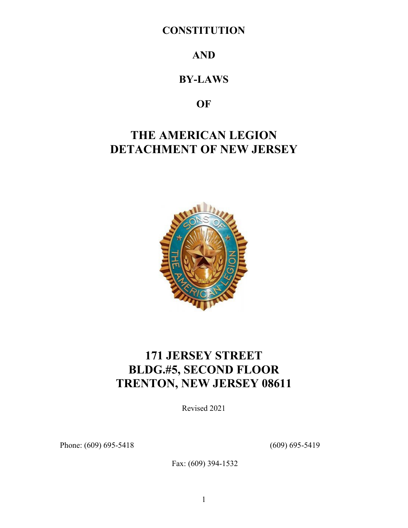## **CONSTITUTION**

## **AND**

## **BY-LAWS**

## **OF**

# **THE AMERICAN LEGION DETACHMENT OF NEW JERSEY**



# **171 JERSEY STREET BLDG.#5, SECOND FLOOR TRENTON, NEW JERSEY 08611**

Revised 2021

Phone: (609) 695-5418 (609) 695-5419

Fax: (609) 394-1532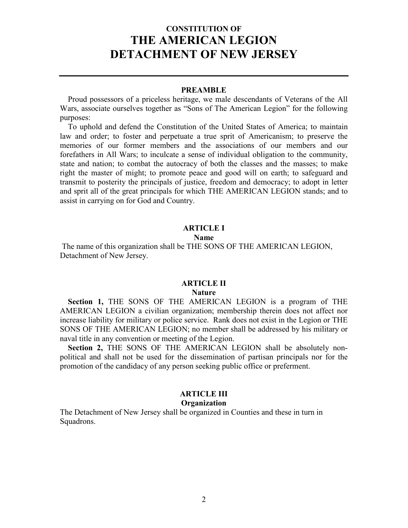## **CONSTITUTION OF THE AMERICAN LEGION DETACHMENT OF NEW JERSEY**

#### **PREAMBLE**

 Proud possessors of a priceless heritage, we male descendants of Veterans of the All Wars, associate ourselves together as "Sons of The American Legion" for the following purposes:

 To uphold and defend the Constitution of the United States of America; to maintain law and order; to foster and perpetuate a true sprit of Americanism; to preserve the memories of our former members and the associations of our members and our forefathers in All Wars; to inculcate a sense of individual obligation to the community, state and nation; to combat the autocracy of both the classes and the masses; to make right the master of might; to promote peace and good will on earth; to safeguard and transmit to posterity the principals of justice, freedom and democracy; to adopt in letter and sprit all of the great principals for which THE AMERICAN LEGION stands; and to assist in carrying on for God and Country.

### **ARTICLE I**

#### **Name**

The name of this organization shall be THE SONS OF THE AMERICAN LEGION, Detachment of New Jersey.

#### **ARTICLE II**

#### **Nature**

 **Section 1,** THE SONS OF THE AMERICAN LEGION is a program of THE AMERICAN LEGION a civilian organization; membership therein does not affect nor increase liability for military or police service. Rank does not exist in the Legion or THE SONS OF THE AMERICAN LEGION; no member shall be addressed by his military or naval title in any convention or meeting of the Legion.

 **Section 2,** THE SONS OF THE AMERICAN LEGION shall be absolutely nonpolitical and shall not be used for the dissemination of partisan principals nor for the promotion of the candidacy of any person seeking public office or preferment.

#### **ARTICLE III Organization**

The Detachment of New Jersey shall be organized in Counties and these in turn in Squadrons.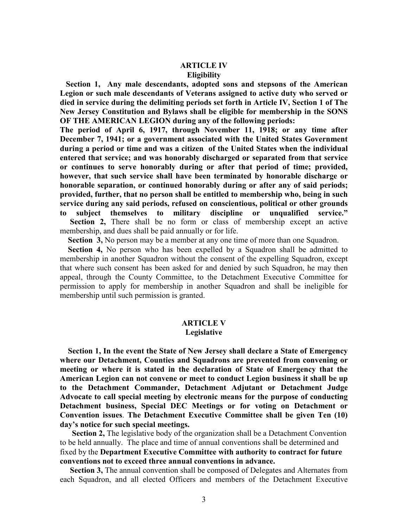# **ARTICLE IV**

## **Eligibility**

 **Section 1, Any male descendants, adopted sons and stepsons of the American Legion or such male descendants of Veterans assigned to active duty who served or died in service during the delimiting periods set forth in Article IV, Section 1 of The New Jersey Constitution and Bylaws shall be eligible for membership in the SONS OF THE AMERICAN LEGION during any of the following periods:** 

**The period of April 6, 1917, through November 11, 1918; or any time after December 7, 1941; or a government associated with the United States Government during a period or time and was a citizen of the United States when the individual entered that service; and was honorably discharged or separated from that service or continues to serve honorably during or after that period of time; provided, however, that such service shall have been terminated by honorable discharge or honorable separation, or continued honorably during or after any of said periods; provided, further, that no person shall be entitled to membership who, being in such service during any said periods, refused on conscientious, political or other grounds to subject themselves to military discipline or unqualified service." Section 2,** There shall be no form or class of membership except an active membership, and dues shall be paid annually or for life.

**Section 3,** No person may be a member at any one time of more than one Squadron.

 **Section 4,** No person who has been expelled by a Squadron shall be admitted to membership in another Squadron without the consent of the expelling Squadron, except that where such consent has been asked for and denied by such Squadron, he may then appeal, through the County Committee, to the Detachment Executive Committee for permission to apply for membership in another Squadron and shall be ineligible for membership until such permission is granted.

#### **ARTICLE V Legislative**

 **Section 1, In the event the State of New Jersey shall declare a State of Emergency where our Detachment, Counties and Squadrons are prevented from convening or meeting or where it is stated in the declaration of State of Emergency that the American Legion can not convene or meet to conduct Legion business it shall be up to the Detachment Commander, Detachment Adjutant or Detachment Judge Advocate to call special meeting by electronic means for the purpose of conducting Detachment business, Special DEC Meetings or for voting on Detachment or Convention issues**. **The Detachment Executive Committee shall be given Ten (10) day's notice for such special meetings.**

**Section 2,** The legislative body of the organization shall be a Detachment Convention to be held annually. The place and time of annual conventions shall be determined and fixed by the **Department Executive Committee with authority to contract for future conventions not to exceed three annual conventions in advance.**

**Section 3,** The annual convention shall be composed of Delegates and Alternates from each Squadron, and all elected Officers and members of the Detachment Executive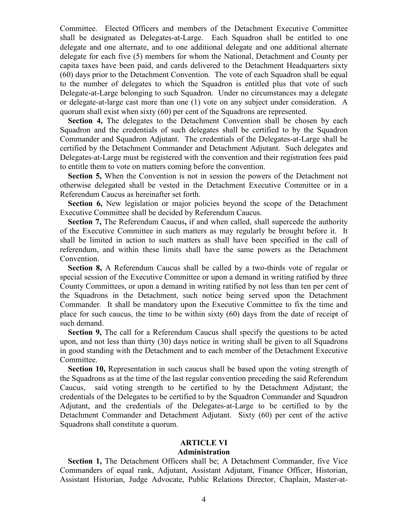Committee. Elected Officers and members of the Detachment Executive Committee shall be designated as Delegates-at-Large. Each Squadron shall be entitled to one delegate and one alternate, and to one additional delegate and one additional alternate delegate for each five (5) members for whom the National, Detachment and County per capita taxes have been paid, and cards delivered to the Detachment Headquarters sixty (60) days prior to the Detachment Convention. The vote of each Squadron shall be equal to the number of delegates to which the Squadron is entitled plus that vote of such Delegate-at-Large belonging to such Squadron. Under no circumstances may a delegate or delegate-at-large cast more than one (1) vote on any subject under consideration. A quorum shall exist when sixty (60) per cent of the Squadrons are represented.

Section 4, The delegates to the Detachment Convention shall be chosen by each Squadron and the credentials of such delegates shall be certified to by the Squadron Commander and Squadron Adjutant. The credentials of the Delegates-at-Large shall be certified by the Detachment Commander and Detachment Adjutant. Such delegates and Delegates-at-Large must be registered with the convention and their registration fees paid to entitle them to vote on matters coming before the convention.

 **Section 5,** When the Convention is not in session the powers of the Detachment not otherwise delegated shall be vested in the Detachment Executive Committee or in a Referendum Caucus as hereinafter set forth.

 **Section 6,** New legislation or major policies beyond the scope of the Detachment Executive Committee shall be decided by Referendum Caucus.

**Section 7, The Referendum Caucus, if and when called, shall supercede the authority** of the Executive Committee in such matters as may regularly be brought before it. It shall be limited in action to such matters as shall have been specified in the call of referendum, and within these limits shall have the same powers as the Detachment Convention.

 **Section 8,** A Referendum Caucus shall be called by a two-thirds vote of regular or special session of the Executive Committee or upon a demand in writing ratified by three County Committees, or upon a demand in writing ratified by not less than ten per cent of the Squadrons in the Detachment, such notice being served upon the Detachment Commander. It shall be mandatory upon the Executive Committee to fix the time and place for such caucus, the time to be within sixty (60) days from the date of receipt of such demand.

 **Section 9,** The call for a Referendum Caucus shall specify the questions to be acted upon, and not less than thirty (30) days notice in writing shall be given to all Squadrons in good standing with the Detachment and to each member of the Detachment Executive Committee.

 **Section 10,** Representation in such caucus shall be based upon the voting strength of the Squadrons as at the time of the last regular convention preceding the said Referendum Caucus, said voting strength to be certified to by the Detachment Adjutant; the credentials of the Delegates to be certified to by the Squadron Commander and Squadron Adjutant, and the credentials of the Delegates-at-Large to be certified to by the Detachment Commander and Detachment Adjutant. Sixty (60) per cent of the active Squadrons shall constitute a quorum.

### **ARTICLE VI**

#### **Administration**

 **Section 1,** The Detachment Officers shall be; A Detachment Commander, five Vice Commanders of equal rank, Adjutant, Assistant Adjutant, Finance Officer, Historian, Assistant Historian, Judge Advocate, Public Relations Director, Chaplain, Master-at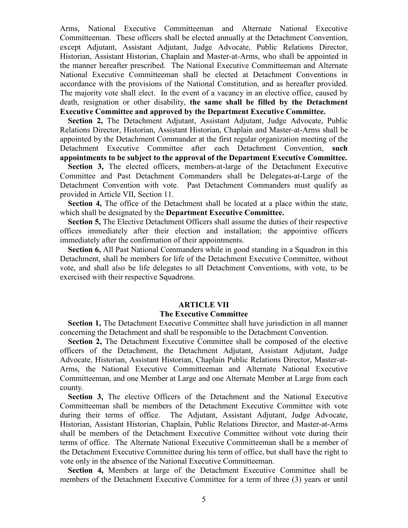Arms, National Executive Committeeman and Alternate National Executive Committeeman. These officers shall be elected annually at the Detachment Convention, except Adjutant, Assistant Adjutant, Judge Advocate, Public Relations Director, Historian, Assistant Historian, Chaplain and Master-at-Arms, who shall be appointed in the manner hereafter prescribed. The National Executive Committeeman and Alternate National Executive Committeeman shall be elected at Detachment Conventions in accordance with the provisions of the National Constitution, and as hereafter provided. The majority vote shall elect. In the event of a vacancy in an elective office, caused by death, resignation or other disability, **the same shall be filled by the Detachment Executive Committee and approved by the Department Executive Committee.**

 **Section 2,** The Detachment Adjutant, Assistant Adjutant, Judge Advocate, Public Relations Director, Historian, Assistant Historian, Chaplain and Master-at-Arms shall be appointed by the Detachment Commander at the first regular organization meeting of the Detachment Executive Committee after each Detachment Convention, **such appointments to be subject to the approval of the Department Executive Committee.** 

 **Section 3,** The elected officers, members-at-large of the Detachment Executive Committee and Past Detachment Commanders shall be Delegates-at-Large of the Detachment Convention with vote. Past Detachment Commanders must qualify as provided in Article VII, Section 11.

 **Section 4,** The office of the Detachment shall be located at a place within the state, which shall be designated by the **Department Executive Committee.**

 **Section 5,** The Elective Detachment Officers shall assume the duties of their respective offices immediately after their election and installation; the appointive officers immediately after the confirmation of their appointments.

 **Section 6,** All Past National Commanders while in good standing in a Squadron in this Detachment, shall be members for life of the Detachment Executive Committee, without vote, and shall also be life delegates to all Detachment Conventions, with vote, to be exercised with their respective Squadrons.

#### **ARTICLE VII**

#### **The Executive Committee**

 **Section 1,** The Detachment Executive Committee shall have jurisdiction in all manner concerning the Detachment and shall be responsible to the Detachment Convention.

**Section 2, The Detachment Executive Committee shall be composed of the elective** officers of the Detachment, the Detachment Adjutant, Assistant Adjutant, Judge Advocate, Historian, Assistant Historian, Chaplain Public Relations Director, Master-at-Arms, the National Executive Committeeman and Alternate National Executive Committeeman, and one Member at Large and one Alternate Member at Large from each county.

 **Section 3,** The elective Officers of the Detachment and the National Executive Committeeman shall be members of the Detachment Executive Committee with vote during their terms of office. The Adjutant, Assistant Adjutant, Judge Advocate, Historian, Assistant Historian, Chaplain, Public Relations Director, and Master-at-Arms shall be members of the Detachment Executive Committee without vote during their terms of office. The Alternate National Executive Committeeman shall be a member of the Detachment Executive Committee during his term of office, but shall have the right to vote only in the absence of the National Executive Committeeman.

 **Section 4,** Members at large of the Detachment Executive Committee shall be members of the Detachment Executive Committee for a term of three (3) years or until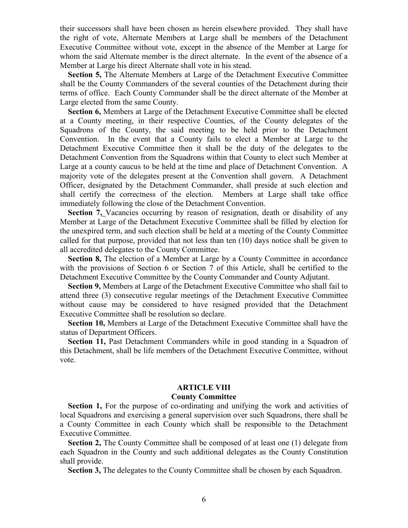their successors shall have been chosen as herein elsewhere provided. They shall have the right of vote, Alternate Members at Large shall be members of the Detachment Executive Committee without vote, except in the absence of the Member at Large for whom the said Alternate member is the direct alternate. In the event of the absence of a Member at Large his direct Alternate shall vote in his stead.

 **Section 5,** The Alternate Members at Large of the Detachment Executive Committee shall be the County Commanders of the several counties of the Detachment during their terms of office. Each County Commander shall be the direct alternate of the Member at Large elected from the same County.

 **Section 6,** Members at Large of the Detachment Executive Committee shall be elected at a County meeting, in their respective Counties, of the County delegates of the Squadrons of the County, the said meeting to be held prior to the Detachment Convention. In the event that a County fails to elect a Member at Large to the Detachment Executive Committee then it shall be the duty of the delegates to the Detachment Convention from the Squadrons within that County to elect such Member at Large at a county caucus to be held at the time and place of Detachment Convention. A majority vote of the delegates present at the Convention shall govern. A Detachment Officer, designated by the Detachment Commander, shall preside at such election and shall certify the correctness of the election. Members at Large shall take office immediately following the close of the Detachment Convention.

**Section 7,** Vacancies occurring by reason of resignation, death or disability of any Member at Large of the Detachment Executive Committee shall be filled by election for the unexpired term, and such election shall be held at a meeting of the County Committee called for that purpose, provided that not less than ten (10) days notice shall be given to all accredited delegates to the County Committee.

**Section 8,** The election of a Member at Large by a County Committee in accordance with the provisions of Section 6 or Section 7 of this Article, shall be certified to the Detachment Executive Committee by the County Commander and County Adjutant.

 **Section 9,** Members at Large of the Detachment Executive Committee who shall fail to attend three (3) consecutive regular meetings of the Detachment Executive Committee without cause may be considered to have resigned provided that the Detachment Executive Committee shall be resolution so declare.

 **Section 10,** Members at Large of the Detachment Executive Committee shall have the status of Department Officers.

**Section 11, Past Detachment Commanders while in good standing in a Squadron of** this Detachment, shall be life members of the Detachment Executive Committee, without vote.

#### **ARTICLE VIII**

#### **County Committee**

**Section 1,** For the purpose of co-ordinating and unifying the work and activities of local Squadrons and exercising a general supervision over such Squadrons, there shall be a County Committee in each County which shall be responsible to the Detachment Executive Committee.

**Section 2,** The County Committee shall be composed of at least one (1) delegate from each Squadron in the County and such additional delegates as the County Constitution shall provide.

**Section 3,** The delegates to the County Committee shall be chosen by each Squadron.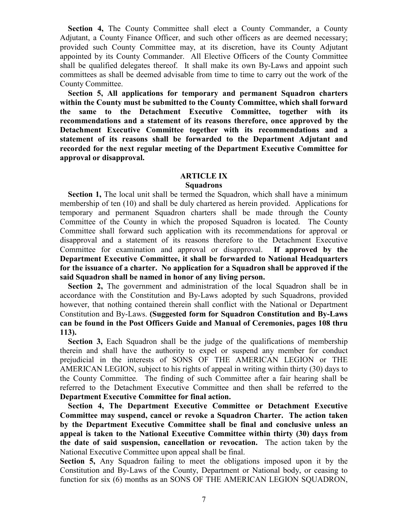**Section 4,** The County Committee shall elect a County Commander, a County Adjutant, a County Finance Officer, and such other officers as are deemed necessary; provided such County Committee may, at its discretion, have its County Adjutant appointed by its County Commander. All Elective Officers of the County Committee shall be qualified delegates thereof. It shall make its own By-Laws and appoint such committees as shall be deemed advisable from time to time to carry out the work of the County Committee.

 **Section 5, All applications for temporary and permanent Squadron charters within the County must be submitted to the County Committee, which shall forward the same to the Detachment Executive Committee, together with its recommendations and a statement of its reasons therefore, once approved by the Detachment Executive Committee together with its recommendations and a statement of its reasons shall be forwarded to the Department Adjutant and recorded for the next regular meeting of the Department Executive Committee for approval or disapproval.**

### **ARTICLE IX**

#### **Squadrons**

 **Section 1,** The local unit shall be termed the Squadron, which shall have a minimum membership of ten (10) and shall be duly chartered as herein provided. Applications for temporary and permanent Squadron charters shall be made through the County Committee of the County in which the proposed Squadron is located. The County Committee shall forward such application with its recommendations for approval or disapproval and a statement of its reasons therefore to the Detachment Executive Committee for examination and approval or disapproval. **If approved by the Department Executive Committee, it shall be forwarded to National Headquarters for the issuance of a charter. No application for a Squadron shall be approved if the said Squadron shall be named in honor of any living person.**

 **Section 2,** The government and administration of the local Squadron shall be in accordance with the Constitution and By-Laws adopted by such Squadrons, provided however, that nothing contained therein shall conflict with the National or Department Constitution and By-Laws. **(Suggested form for Squadron Constitution and By-Laws can be found in the Post Officers Guide and Manual of Ceremonies, pages 108 thru 113).**

 **Section 3,** Each Squadron shall be the judge of the qualifications of membership therein and shall have the authority to expel or suspend any member for conduct prejudicial in the interests of SONS OF THE AMERICAN LEGION or THE AMERICAN LEGION, subject to his rights of appeal in writing within thirty (30) days to the County Committee. The finding of such Committee after a fair hearing shall be referred to the Detachment Executive Committee and then shall be referred to the **Department Executive Committee for final action.**

 **Section 4, The Department Executive Committee or Detachment Executive Committee may suspend, cancel or revoke a Squadron Charter. The action taken by the Department Executive Committee shall be final and conclusive unless an appeal is taken to the National Executive Committee within thirty (30) days from the date of said suspension, cancellation or revocation.** The action taken by the National Executive Committee upon appeal shall be final.

**Section 5,** Any Squadron failing to meet the obligations imposed upon it by the Constitution and By-Laws of the County, Department or National body, or ceasing to function for six (6) months as an SONS OF THE AMERICAN LEGION SQUADRON,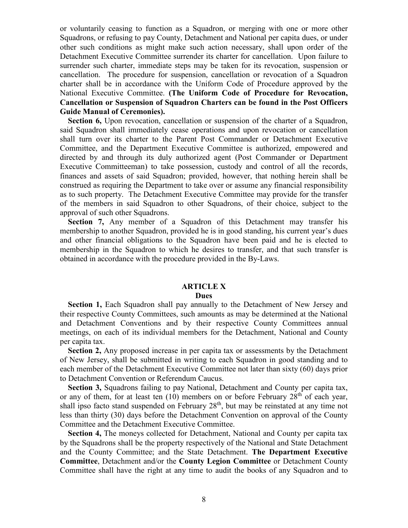or voluntarily ceasing to function as a Squadron, or merging with one or more other Squadrons, or refusing to pay County, Detachment and National per capita dues, or under other such conditions as might make such action necessary, shall upon order of the Detachment Executive Committee surrender its charter for cancellation. Upon failure to surrender such charter, immediate steps may be taken for its revocation, suspension or cancellation. The procedure for suspension, cancellation or revocation of a Squadron charter shall be in accordance with the Uniform Code of Procedure approved by the National Executive Committee. **(The Uniform Code of Procedure for Revocation, Cancellation or Suspension of Squadron Charters can be found in the Post Officers Guide Manual of Ceremonies).**

 **Section 6,** Upon revocation, cancellation or suspension of the charter of a Squadron, said Squadron shall immediately cease operations and upon revocation or cancellation shall turn over its charter to the Parent Post Commander or Detachment Executive Committee, and the Department Executive Committee is authorized, empowered and directed by and through its duly authorized agent (Post Commander or Department Executive Committeeman) to take possession, custody and control of all the records, finances and assets of said Squadron; provided, however, that nothing herein shall be construed as requiring the Department to take over or assume any financial responsibility as to such property.The Detachment Executive Committee may provide for the transfer of the members in said Squadron to other Squadrons, of their choice, subject to the approval of such other Squadrons.

 **Section 7,** Any member of a Squadron of this Detachment may transfer his membership to another Squadron, provided he is in good standing, his current year's dues and other financial obligations to the Squadron have been paid and he is elected to membership in the Squadron to which he desires to transfer, and that such transfer is obtained in accordance with the procedure provided in the By-Laws.

## **ARTICLE X**

#### **Dues**

**Section 1, Each Squadron shall pay annually to the Detachment of New Jersey and** their respective County Committees, such amounts as may be determined at the National and Detachment Conventions and by their respective County Committees annual meetings, on each of its individual members for the Detachment, National and County per capita tax.

 **Section 2,** Any proposed increase in per capita tax or assessments by the Detachment of New Jersey, shall be submitted in writing to each Squadron in good standing and to each member of the Detachment Executive Committee not later than sixty (60) days prior to Detachment Convention or Referendum Caucus.

 **Section 3,** Squadrons failing to pay National, Detachment and County per capita tax, or any of them, for at least ten  $(10)$  members on or before February  $28<sup>th</sup>$  of each year, shall ipso facto stand suspended on February  $28<sup>th</sup>$ , but may be reinstated at any time not less than thirty (30) days before the Detachment Convention on approval of the County Committee and the Detachment Executive Committee.

 **Section 4,** The moneys collected for Detachment, National and County per capita tax by the Squadrons shall be the property respectively of the National and State Detachment and the County Committee; and the State Detachment. **The Department Executive Committee**, Detachment and/or the **County Legion Committee** or Detachment County Committee shall have the right at any time to audit the books of any Squadron and to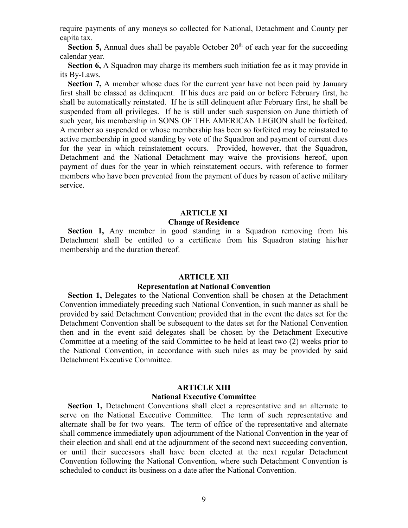require payments of any moneys so collected for National, Detachment and County per capita tax.

**Section 5,** Annual dues shall be payable October 20<sup>th</sup> of each year for the succeeding calendar year.

**Section 6, A** Squadron may charge its members such initiation fee as it may provide in its By-Laws.

**Section 7,** A member whose dues for the current year have not been paid by January first shall be classed as delinquent. If his dues are paid on or before February first, he shall be automatically reinstated. If he is still delinquent after February first, he shall be suspended from all privileges. If he is still under such suspension on June thirtieth of such year, his membership in SONS OF THE AMERICAN LEGION shall be forfeited. A member so suspended or whose membership has been so forfeited may be reinstated to active membership in good standing by vote of the Squadron and payment of current dues for the year in which reinstatement occurs. Provided, however, that the Squadron, Detachment and the National Detachment may waive the provisions hereof, upon payment of dues for the year in which reinstatement occurs, with reference to former members who have been prevented from the payment of dues by reason of active military service.

### **ARTICLE XI**

#### **Change of Residence**

**Section 1,** Any member in good standing in a Squadron removing from his Detachment shall be entitled to a certificate from his Squadron stating his/her membership and the duration thereof.

#### **ARTICLE XII**

#### **Representation at National Convention**

 **Section 1,** Delegates to the National Convention shall be chosen at the Detachment Convention immediately preceding such National Convention, in such manner as shall be provided by said Detachment Convention; provided that in the event the dates set for the Detachment Convention shall be subsequent to the dates set for the National Convention then and in the event said delegates shall be chosen by the Detachment Executive Committee at a meeting of the said Committee to be held at least two (2) weeks prior to the National Convention, in accordance with such rules as may be provided by said Detachment Executive Committee.

#### **ARTICLE XIII**

#### **National Executive Committee**

 **Section 1,** Detachment Conventions shall elect a representative and an alternate to serve on the National Executive Committee. The term of such representative and alternate shall be for two years. The term of office of the representative and alternate shall commence immediately upon adjournment of the National Convention in the year of their election and shall end at the adjournment of the second next succeeding convention, or until their successors shall have been elected at the next regular Detachment Convention following the National Convention, where such Detachment Convention is scheduled to conduct its business on a date after the National Convention.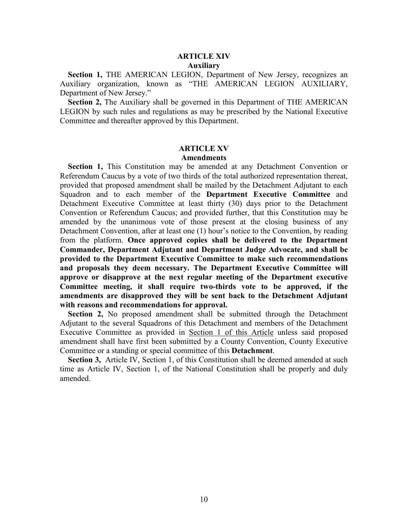#### **ARTICLE XIV Auxiliary**

 **Section 1,** THE AMERICAN LEGION, Department of New Jersey, recognizes an Auxiliary organization, known as "THE AMERICAN LEGION AUXILIARY, Department of New Jersey."

 **Section 2,** The Auxiliary shall be governed in this Department of THE AMERICAN LEGION by such rules and regulations as may be prescribed by the National Executive Committee and thereafter approved by this Department.

#### **ARTICLE XV Amendments**

 **Section 1,** This Constitution may be amended at any Detachment Convention or Referendum Caucus by a vote of two thirds of the total authorized representation thereat, provided that proposed amendment shall be mailed by the Detachment Adjutant to each Squadron and to each member of the **Department Executive Committee** and Detachment Executive Committee at least thirty (30) days prior to the Detachment Convention or Referendum Caucus; and provided further, that this Constitution may be amended by the unanimous vote of those present at the closing business of any Detachment Convention, after at least one (1) hour's notice to the Convention, by reading from the platform. **Once approved copies shall be delivered to the Department Commander, Department Adjutant and Department Judge Advocate, and shall be provided to the Department Executive Committee to make such recommendations and proposals they deem necessary. The Department Executive Committee will approve or disapprove at the next regular meeting of the Department executive Committee meeting, it shall require two-thirds vote to be approved, if the amendments are disapproved they will be sent back to the Detachment Adjutant with reasons and recommendations for approval.**

 **Section 2,** No proposed amendment shall be submitted through the Detachment Adjutant to the several Squadrons of this Detachment and members of the Detachment Executive Committee as provided in Section 1 of this Article unless said proposed amendment shall have first been submitted by a County Convention, County Executive Committee or a standing or special committee of this **Detachment**.

Section 3, Article IV, Section 1, of this Constitution shall be deemed amended at such time as Article IV, Section 1, of the National Constitution shall be properly and duly amended.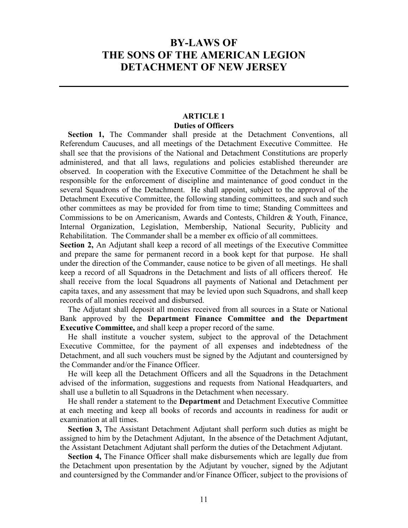## **BY-LAWS OF THE SONS OF THE AMERICAN LEGION DETACHMENT OF NEW JERSEY**

### **ARTICLE 1 Duties of Officers**

 **Section 1,** The Commander shall preside at the Detachment Conventions, all Referendum Caucuses, and all meetings of the Detachment Executive Committee. He shall see that the provisions of the National and Detachment Constitutions are properly administered, and that all laws, regulations and policies established thereunder are observed. In cooperation with the Executive Committee of the Detachment he shall be responsible for the enforcement of discipline and maintenance of good conduct in the several Squadrons of the Detachment. He shall appoint, subject to the approval of the Detachment Executive Committee, the following standing committees, and such and such other committees as may be provided for from time to time; Standing Committees and Commissions to be on Americanism, Awards and Contests, Children & Youth, Finance, Internal Organization, Legislation, Membership, National Security, Publicity and Rehabilitation. The Commander shall be a member ex officio of all committees.

**Section 2,** An Adjutant shall keep a record of all meetings of the Executive Committee and prepare the same for permanent record in a book kept for that purpose. He shall under the direction of the Commander, cause notice to be given of all meetings. He shall keep a record of all Squadrons in the Detachment and lists of all officers thereof. He shall receive from the local Squadrons all payments of National and Detachment per capita taxes, and any assessment that may be levied upon such Squadrons, and shall keep records of all monies received and disbursed.

 The Adjutant shall deposit all monies received from all sources in a State or National Bank approved by the **Department Finance Committee and the Department Executive Committee,** and shall keep a proper record of the same.

 He shall institute a voucher system, subject to the approval of the Detachment Executive Committee, for the payment of all expenses and indebtedness of the Detachment, and all such vouchers must be signed by the Adjutant and countersigned by the Commander and/or the Finance Officer.

 He will keep all the Detachment Officers and all the Squadrons in the Detachment advised of the information, suggestions and requests from National Headquarters, and shall use a bulletin to all Squadrons in the Detachment when necessary.

 He shall render a statement to the **Department** and Detachment Executive Committee at each meeting and keep all books of records and accounts in readiness for audit or examination at all times.

 **Section 3,** The Assistant Detachment Adjutant shall perform such duties as might be assigned to him by the Detachment Adjutant, In the absence of the Detachment Adjutant, the Assistant Detachment Adjutant shall perform the duties of the Detachment Adjutant.

 **Section 4,** The Finance Officer shall make disbursements which are legally due from the Detachment upon presentation by the Adjutant by voucher, signed by the Adjutant and countersigned by the Commander and/or Finance Officer, subject to the provisions of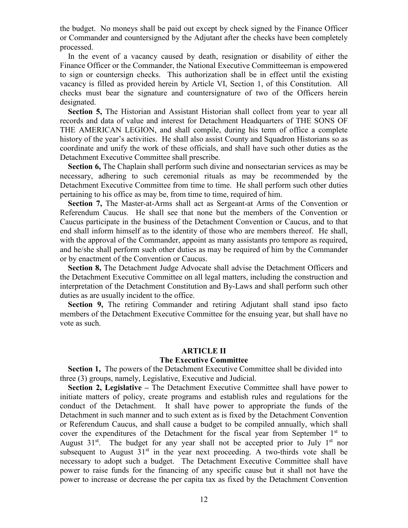the budget. No moneys shall be paid out except by check signed by the Finance Officer or Commander and countersigned by the Adjutant after the checks have been completely processed.

 In the event of a vacancy caused by death, resignation or disability of either the Finance Officer or the Commander, the National Executive Committeeman is empowered to sign or countersign checks. This authorization shall be in effect until the existing vacancy is filled as provided herein by Article VI, Section 1, of this Constitution. All checks must bear the signature and countersignature of two of the Officers herein designated.

 **Section 5,** The Historian and Assistant Historian shall collect from year to year all records and data of value and interest for Detachment Headquarters of THE SONS OF THE AMERICAN LEGION, and shall compile, during his term of office a complete history of the year's activities. He shall also assist County and Squadron Historians so as coordinate and unify the work of these officials, and shall have such other duties as the Detachment Executive Committee shall prescribe.

 **Section 6,** The Chaplain shall perform such divine and nonsectarian services as may be necessary, adhering to such ceremonial rituals as may be recommended by the Detachment Executive Committee from time to time. He shall perform such other duties pertaining to his office as may be, from time to time, required of him.

 **Section 7,** The Master-at-Arms shall act as Sergeant-at Arms of the Convention or Referendum Caucus. He shall see that none but the members of the Convention or Caucus participate in the business of the Detachment Convention or Caucus, and to that end shall inform himself as to the identity of those who are members thereof. He shall, with the approval of the Commander, appoint as many assistants pro tempore as required, and he/she shall perform such other duties as may be required of him by the Commander or by enactment of the Convention or Caucus.

 **Section 8,** The Detachment Judge Advocate shall advise the Detachment Officers and the Detachment Executive Committee on all legal matters, including the construction and interpretation of the Detachment Constitution and By-Laws and shall perform such other duties as are usually incident to the office.

**Section 9,** The retiring Commander and retiring Adjutant shall stand ipso facto members of the Detachment Executive Committee for the ensuing year, but shall have no vote as such.

#### **ARTICLE II**

#### **The Executive Committee**

 **Section 1,** The powers of the Detachment Executive Committee shall be divided into three (3) groups, namely, Legislative, Executive and Judicial.

 **Section 2, Legislative –** The Detachment Executive Committee shall have power to initiate matters of policy, create programs and establish rules and regulations for the conduct of the Detachment. It shall have power to appropriate the funds of the Detachment in such manner and to such extent as is fixed by the Detachment Convention or Referendum Caucus, and shall cause a budget to be compiled annually, which shall cover the expenditures of the Detachment for the fiscal year from September  $1<sup>st</sup>$  to August  $31^{st}$ . The budget for any year shall not be accepted prior to July  $1^{st}$  nor subsequent to August  $31<sup>st</sup>$  in the year next proceeding. A two-thirds vote shall be necessary to adopt such a budget. The Detachment Executive Committee shall have power to raise funds for the financing of any specific cause but it shall not have the power to increase or decrease the per capita tax as fixed by the Detachment Convention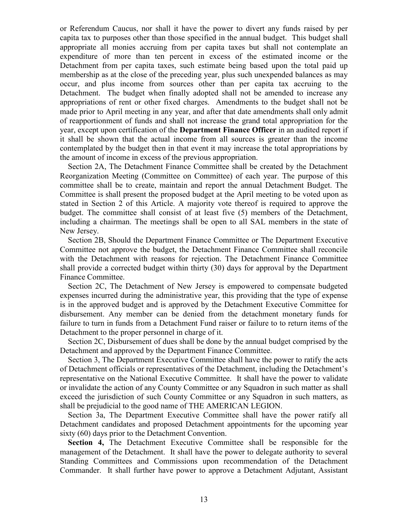or Referendum Caucus, nor shall it have the power to divert any funds raised by per capita tax to purposes other than those specified in the annual budget. This budget shall appropriate all monies accruing from per capita taxes but shall not contemplate an expenditure of more than ten percent in excess of the estimated income or the Detachment from per capita taxes, such estimate being based upon the total paid up membership as at the close of the preceding year, plus such unexpended balances as may occur, and plus income from sources other than per capita tax accruing to the Detachment. The budget when finally adopted shall not be amended to increase any appropriations of rent or other fixed charges. Amendments to the budget shall not be made prior to April meeting in any year, and after that date amendments shall only admit of reapportionment of funds and shall not increase the grand total appropriation for the year, except upon certification of the **Department Finance Officer** in an audited report if it shall be shown that the actual income from all sources is greater than the income contemplated by the budget then in that event it may increase the total appropriations by the amount of income in excess of the previous appropriation.

Section 2A, The Detachment Finance Committee shall be created by the Detachment Reorganization Meeting (Committee on Committee) of each year. The purpose of this committee shall be to create, maintain and report the annual Detachment Budget. The Committee is shall present the proposed budget at the April meeting to be voted upon as stated in Section 2 of this Article. A majority vote thereof is required to approve the budget. The committee shall consist of at least five (5) members of the Detachment, including a chairman. The meetings shall be open to all SAL members in the state of New Jersey.

 Section 2B, Should the Department Finance Committee or The Department Executive Committee not approve the budget, the Detachment Finance Committee shall reconcile with the Detachment with reasons for rejection. The Detachment Finance Committee shall provide a corrected budget within thirty (30) days for approval by the Department Finance Committee.

 Section 2C, The Detachment of New Jersey is empowered to compensate budgeted expenses incurred during the administrative year, this providing that the type of expense is in the approved budget and is approved by the Detachment Executive Committee for disbursement. Any member can be denied from the detachment monetary funds for failure to turn in funds from a Detachment Fund raiser or failure to to return items of the Detachment to the proper personnel in charge of it.

 Section 2C, Disbursement of dues shall be done by the annual budget comprised by the Detachment and approved by the Department Finance Committee.

 Section 3, The Department Executive Committee shall have the power to ratify the acts of Detachment officials or representatives of the Detachment, including the Detachment's representative on the National Executive Committee. It shall have the power to validate or invalidate the action of any County Committee or any Squadron in such matter as shall exceed the jurisdiction of such County Committee or any Squadron in such matters, as shall be prejudicial to the good name of THE AMERICAN LEGION.

 Section 3a, The Department Executive Committee shall have the power ratify all Detachment candidates and proposed Detachment appointments for the upcoming year sixty (60) days prior to the Detachment Convention.

 **Section 4,** The Detachment Executive Committee shall be responsible for the management of the Detachment. It shall have the power to delegate authority to several Standing Committees and Commissions upon recommendation of the Detachment Commander. It shall further have power to approve a Detachment Adjutant, Assistant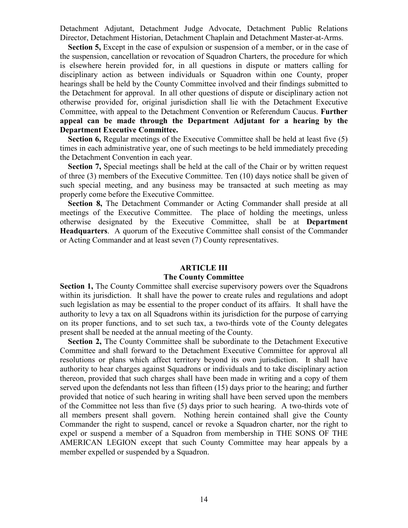Detachment Adjutant, Detachment Judge Advocate, Detachment Public Relations Director, Detachment Historian, Detachment Chaplain and Detachment Master-at-Arms.

**Section 5,** Except in the case of expulsion or suspension of a member, or in the case of the suspension, cancellation or revocation of Squadron Charters, the procedure for which is elsewhere herein provided for, in all questions in dispute or matters calling for disciplinary action as between individuals or Squadron within one County, proper hearings shall be held by the County Committee involved and their findings submitted to the Detachment for approval. In all other questions of dispute or disciplinary action not otherwise provided for, original jurisdiction shall lie with the Detachment Executive Committee, with appeal to the Detachment Convention or Referendum Caucus. **Further appeal can be made through the Department Adjutant for a hearing by the Department Executive Committee.** 

**Section 6, Regular meetings of the Executive Committee shall be held at least five (5)** times in each administrative year, one of such meetings to be held immediately preceding the Detachment Convention in each year.

 **Section 7,** Special meetings shall be held at the call of the Chair or by written request of three (3) members of the Executive Committee. Ten (10) days notice shall be given of such special meeting, and any business may be transacted at such meeting as may properly come before the Executive Committee.

 **Section 8,** The Detachment Commander or Acting Commander shall preside at all meetings of the Executive Committee. The place of holding the meetings, unless otherwise designated by the Executive Committee, shall be at **Department Headquarters**. A quorum of the Executive Committee shall consist of the Commander or Acting Commander and at least seven (7) County representatives.

#### **ARTICLE III**

#### **The County Committee**

**Section 1,** The County Committee shall exercise supervisory powers over the Squadrons within its jurisdiction. It shall have the power to create rules and regulations and adopt such legislation as may be essential to the proper conduct of its affairs. It shall have the authority to levy a tax on all Squadrons within its jurisdiction for the purpose of carrying on its proper functions, and to set such tax, a two-thirds vote of the County delegates present shall be needed at the annual meeting of the County.

**Section 2, The County Committee shall be subordinate to the Detachment Executive** Committee and shall forward to the Detachment Executive Committee for approval all resolutions or plans which affect territory beyond its own jurisdiction. It shall have authority to hear charges against Squadrons or individuals and to take disciplinary action thereon, provided that such charges shall have been made in writing and a copy of them served upon the defendants not less than fifteen (15) days prior to the hearing; and further provided that notice of such hearing in writing shall have been served upon the members of the Committee not less than five (5) days prior to such hearing. A two-thirds vote of all members present shall govern. Nothing herein contained shall give the County Commander the right to suspend, cancel or revoke a Squadron charter, nor the right to expel or suspend a member of a Squadron from membership in THE SONS OF THE AMERICAN LEGION except that such County Committee may hear appeals by a member expelled or suspended by a Squadron.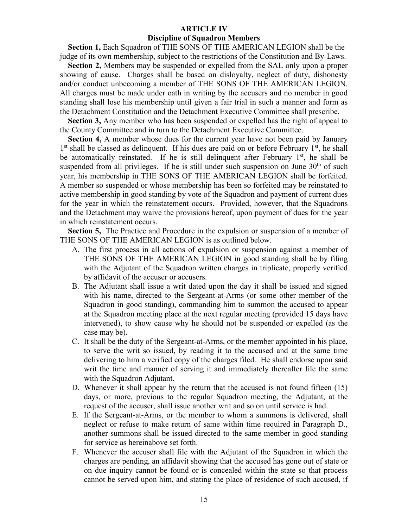#### **ARTICLE IV Discipline of Squadron Members**

 **Section 1,** Each Squadron of THE SONS OF THE AMERICAN LEGION shall be the judge of its own membership, subject to the restrictions of the Constitution and By-Laws.

 **Section 2,** Members may be suspended or expelled from the SAL only upon a proper showing of cause. Charges shall be based on disloyalty, neglect of duty, dishonesty and/or conduct unbecoming a member of THE SONS OF THE AMERICAN LEGION. All charges must be made under oath in writing by the accusers and no member in good standing shall lose his membership until given a fair trial in such a manner and form as the Detachment Constitution and the Detachment Executive Committee shall prescribe.

 **Section 3,** Any member who has been suspended or expelled has the right of appeal to the County Committee and in turn to the Detachment Executive Committee.

 **Section 4,** A member whose dues for the current year have not been paid by January  $1<sup>st</sup>$  shall be classed as delinquent. If his dues are paid on or before February  $1<sup>st</sup>$ , he shall be automatically reinstated. If he is still delinquent after February  $1<sup>st</sup>$ , he shall be suspended from all privileges. If he is still under such suspension on June  $30<sup>th</sup>$  of such year, his membership in THE SONS OF THE AMERICAN LEGION shall be forfeited. A member so suspended or whose membership has been so forfeited may be reinstated to active membership in good standing by vote of the Squadron and payment of current dues for the year in which the reinstatement occurs. Provided, however, that the Squadrons and the Detachment may waive the provisions hereof, upon payment of dues for the year in which reinstatement occurs.

 **Section 5,** The Practice and Procedure in the expulsion or suspension of a member of THE SONS OF THE AMERICAN LEGION is as outlined below.

- A. The first process in all actions of expulsion or suspension against a member of THE SONS OF THE AMERICAN LEGION in good standing shall be by filing with the Adjutant of the Squadron written charges in triplicate, properly verified by affidavit of the accuser or accusers.
- B. The Adjutant shall issue a writ dated upon the day it shall be issued and signed with his name, directed to the Sergeant-at-Arms (or some other member of the Squadron in good standing), commanding him to summon the accused to appear at the Squadron meeting place at the next regular meeting (provided 15 days have intervened), to show cause why he should not be suspended or expelled (as the case may be).
- C. It shall be the duty of the Sergeant-at-Arms, or the member appointed in his place, to serve the writ so issued, by reading it to the accused and at the same time delivering to him a verified copy of the charges filed. He shall endorse upon said writ the time and manner of serving it and immediately thereafter file the same with the Squadron Adjutant.
- D. Whenever it shall appear by the return that the accused is not found fifteen (15) days, or more, previous to the regular Squadron meeting, the Adjutant, at the request of the accuser, shall issue another writ and so on until service is had.
- E. If the Sergeant-at-Arms, or the member to whom a summons is delivered, shall neglect or refuse to make return of same within time required in Paragraph D., another summons shall be issued directed to the same member in good standing for service as hereinabove set forth.
- F. Whenever the accuser shall file with the Adjutant of the Squadron in which the charges are pending, an affidavit showing that the accused has gone out of state or on due inquiry cannot be found or is concealed within the state so that process cannot be served upon him, and stating the place of residence of such accused, if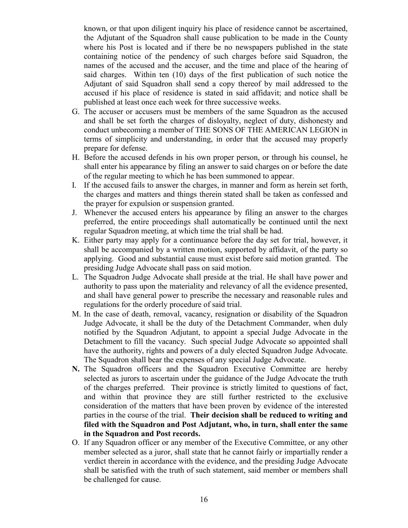known, or that upon diligent inquiry his place of residence cannot be ascertained, the Adjutant of the Squadron shall cause publication to be made in the County where his Post is located and if there be no newspapers published in the state containing notice of the pendency of such charges before said Squadron, the names of the accused and the accuser, and the time and place of the hearing of said charges. Within ten (10) days of the first publication of such notice the Adjutant of said Squadron shall send a copy thereof by mail addressed to the accused if his place of residence is stated in said affidavit; and notice shall be published at least once each week for three successive weeks.

- G. The accuser or accusers must be members of the same Squadron as the accused and shall be set forth the charges of disloyalty, neglect of duty, dishonesty and conduct unbecoming a member of THE SONS OF THE AMERICAN LEGION in terms of simplicity and understanding, in order that the accused may properly prepare for defense.
- H. Before the accused defends in his own proper person, or through his counsel, he shall enter his appearance by filing an answer to said charges on or before the date of the regular meeting to which he has been summoned to appear.
- I. If the accused fails to answer the charges, in manner and form as herein set forth, the charges and matters and things therein stated shall be taken as confessed and the prayer for expulsion or suspension granted.
- J. Whenever the accused enters his appearance by filing an answer to the charges preferred, the entire proceedings shall automatically be continued until the next regular Squadron meeting, at which time the trial shall be had.
- K. Either party may apply for a continuance before the day set for trial, however, it shall be accompanied by a written motion, supported by affidavit, of the party so applying. Good and substantial cause must exist before said motion granted. The presiding Judge Advocate shall pass on said motion.
- L. The Squadron Judge Advocate shall preside at the trial. He shall have power and authority to pass upon the materiality and relevancy of all the evidence presented, and shall have general power to prescribe the necessary and reasonable rules and regulations for the orderly procedure of said trial.
- M. In the case of death, removal, vacancy, resignation or disability of the Squadron Judge Advocate, it shall be the duty of the Detachment Commander, when duly notified by the Squadron Adjutant, to appoint a special Judge Advocate in the Detachment to fill the vacancy. Such special Judge Advocate so appointed shall have the authority, rights and powers of a duly elected Squadron Judge Advocate. The Squadron shall bear the expenses of any special Judge Advocate.
- **N.** The Squadron officers and the Squadron Executive Committee are hereby selected as jurors to ascertain under the guidance of the Judge Advocate the truth of the charges preferred. Their province is strictly limited to questions of fact, and within that province they are still further restricted to the exclusive consideration of the matters that have been proven by evidence of the interested parties in the course of the trial. **Their decision shall be reduced to writing and filed with the Squadron and Post Adjutant, who, in turn, shall enter the same in the Squadron and Post records.**
- O. If any Squadron officer or any member of the Executive Committee, or any other member selected as a juror, shall state that he cannot fairly or impartially render a verdict therein in accordance with the evidence, and the presiding Judge Advocate shall be satisfied with the truth of such statement, said member or members shall be challenged for cause.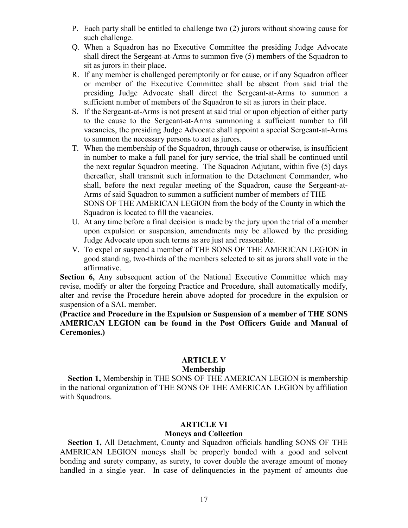- P. Each party shall be entitled to challenge two (2) jurors without showing cause for such challenge.
- Q. When a Squadron has no Executive Committee the presiding Judge Advocate shall direct the Sergeant-at-Arms to summon five (5) members of the Squadron to sit as jurors in their place.
- R. If any member is challenged peremptorily or for cause, or if any Squadron officer or member of the Executive Committee shall be absent from said trial the presiding Judge Advocate shall direct the Sergeant-at-Arms to summon a sufficient number of members of the Squadron to sit as jurors in their place.
- S. If the Sergeant-at-Arms is not present at said trial or upon objection of either party to the cause to the Sergeant-at-Arms summoning a sufficient number to fill vacancies, the presiding Judge Advocate shall appoint a special Sergeant-at-Arms to summon the necessary persons to act as jurors.
- T. When the membership of the Squadron, through cause or otherwise, is insufficient in number to make a full panel for jury service, the trial shall be continued until the next regular Squadron meeting. The Squadron Adjutant, within five (5) days thereafter, shall transmit such information to the Detachment Commander, who shall, before the next regular meeting of the Squadron, cause the Sergeant-at-Arms of said Squadron to summon a sufficient number of members of THE SONS OF THE AMERICAN LEGION from the body of the County in which the Squadron is located to fill the vacancies.
- U. At any time before a final decision is made by the jury upon the trial of a member upon expulsion or suspension, amendments may be allowed by the presiding Judge Advocate upon such terms as are just and reasonable.
- V. To expel or suspend a member of THE SONS OF THE AMERICAN LEGION in good standing, two-thirds of the members selected to sit as jurors shall vote in the affirmative.

**Section 6,** Any subsequent action of the National Executive Committee which may revise, modify or alter the forgoing Practice and Procedure, shall automatically modify, alter and revise the Procedure herein above adopted for procedure in the expulsion or suspension of a SAL member.

### **(Practice and Procedure in the Expulsion or Suspension of a member of THE SONS AMERICAN LEGION can be found in the Post Officers Guide and Manual of Ceremonies.)**

## **ARTICLE V**

### **Membership**

 **Section 1,** Membership in THE SONS OF THE AMERICAN LEGION is membership in the national organization of THE SONS OF THE AMERICAN LEGION by affiliation with Squadrons.

## **ARTICLE VI**

## **Moneys and Collection**

 **Section 1,** All Detachment, County and Squadron officials handling SONS OF THE AMERICAN LEGION moneys shall be properly bonded with a good and solvent bonding and surety company, as surety, to cover double the average amount of money handled in a single year. In case of delinguencies in the payment of amounts due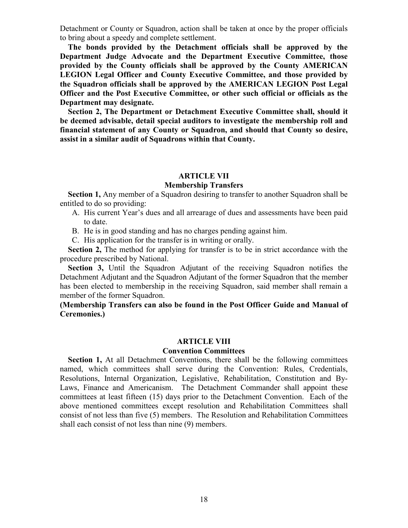Detachment or County or Squadron, action shall be taken at once by the proper officials to bring about a speedy and complete settlement.

 **The bonds provided by the Detachment officials shall be approved by the Department Judge Advocate and the Department Executive Committee, those provided by the County officials shall be approved by the County AMERICAN LEGION Legal Officer and County Executive Committee, and those provided by the Squadron officials shall be approved by the AMERICAN LEGION Post Legal Officer and the Post Executive Committee, or other such official or officials as the Department may designate.**

 **Section 2, The Department or Detachment Executive Committee shall, should it be deemed advisable, detail special auditors to investigate the membership roll and financial statement of any County or Squadron, and should that County so desire, assist in a similar audit of Squadrons within that County.**

#### **ARTICLE VII**

#### **Membership Transfers**

 **Section 1,** Any member of a Squadron desiring to transfer to another Squadron shall be entitled to do so providing:

- A. His current Year's dues and all arrearage of dues and assessments have been paid to date.
- B. He is in good standing and has no charges pending against him.
- C. His application for the transfer is in writing or orally.

**Section 2,** The method for applying for transfer is to be in strict accordance with the procedure prescribed by National.

**Section 3,** Until the Squadron Adjutant of the receiving Squadron notifies the Detachment Adjutant and the Squadron Adjutant of the former Squadron that the member has been elected to membership in the receiving Squadron, said member shall remain a member of the former Squadron.

**(Membership Transfers can also be found in the Post Officer Guide and Manual of Ceremonies.)**

#### **ARTICLE VIII**

#### **Convention Committees**

**Section 1,** At all Detachment Conventions, there shall be the following committees named, which committees shall serve during the Convention: Rules, Credentials, Resolutions, Internal Organization, Legislative, Rehabilitation, Constitution and By-Laws, Finance and Americanism. The Detachment Commander shall appoint these committees at least fifteen (15) days prior to the Detachment Convention. Each of the above mentioned committees except resolution and Rehabilitation Committees shall consist of not less than five (5) members. The Resolution and Rehabilitation Committees shall each consist of not less than nine (9) members.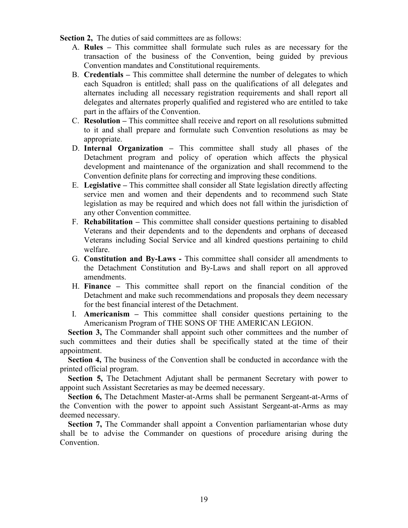**Section 2,** The duties of said committees are as follows:

- A. **Rules –** This committee shall formulate such rules as are necessary for the transaction of the business of the Convention, being guided by previous Convention mandates and Constitutional requirements.
- B. **Credentials –** This committee shall determine the number of delegates to which each Squadron is entitled; shall pass on the qualifications of all delegates and alternates including all necessary registration requirements and shall report all delegates and alternates properly qualified and registered who are entitled to take part in the affairs of the Convention.
- C. **Resolution –** This committee shall receive and report on all resolutions submitted to it and shall prepare and formulate such Convention resolutions as may be appropriate.
- D. **Internal Organization –** This committee shall study all phases of the Detachment program and policy of operation which affects the physical development and maintenance of the organization and shall recommend to the Convention definite plans for correcting and improving these conditions.
- E. **Legislative –** This committee shall consider all State legislation directly affecting service men and women and their dependents and to recommend such State legislation as may be required and which does not fall within the jurisdiction of any other Convention committee.
- F. **Rehabilitation –** This committee shall consider questions pertaining to disabled Veterans and their dependents and to the dependents and orphans of deceased Veterans including Social Service and all kindred questions pertaining to child welfare.
- G. **Constitution and By-Laws -** This committee shall consider all amendments to the Detachment Constitution and By-Laws and shall report on all approved amendments.
- H. **Finance –** This committee shall report on the financial condition of the Detachment and make such recommendations and proposals they deem necessary for the best financial interest of the Detachment.
- I. **Americanism –** This committee shall consider questions pertaining to the Americanism Program of THE SONS OF THE AMERICAN LEGION.

**Section 3,** The Commander shall appoint such other committees and the number of such committees and their duties shall be specifically stated at the time of their appointment.

**Section 4,** The business of the Convention shall be conducted in accordance with the printed official program.

**Section 5,** The Detachment Adjutant shall be permanent Secretary with power to appoint such Assistant Secretaries as may be deemed necessary.

 **Section 6,** The Detachment Master-at-Arms shall be permanent Sergeant-at-Arms of the Convention with the power to appoint such Assistant Sergeant-at-Arms as may deemed necessary.

**Section 7,** The Commander shall appoint a Convention parliamentarian whose duty shall be to advise the Commander on questions of procedure arising during the Convention.